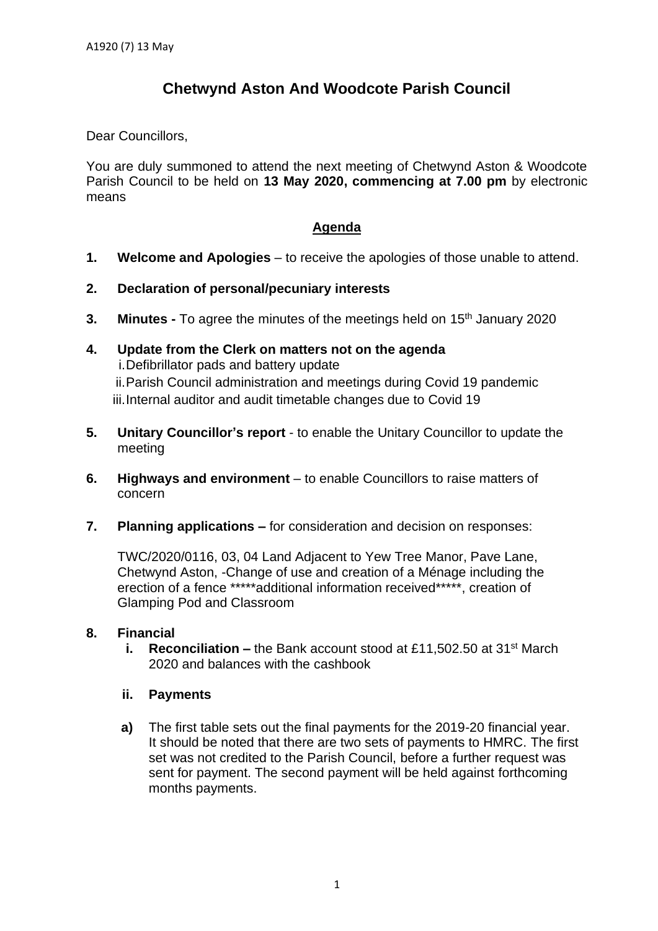# **Chetwynd Aston And Woodcote Parish Council**

Dear Councillors,

You are duly summoned to attend the next meeting of Chetwynd Aston & Woodcote Parish Council to be held on **13 May 2020, commencing at 7.00 pm** by electronic means

# **Agenda**

- **1. Welcome and Apologies** to receive the apologies of those unable to attend.
- **2. Declaration of personal/pecuniary interests**
- **3. Minutes -** To agree the minutes of the meetings held on 15<sup>th</sup> January 2020
- **4. Update from the Clerk on matters not on the agenda** i.Defibrillator pads and battery update ii.Parish Council administration and meetings during Covid 19 pandemic iii.Internal auditor and audit timetable changes due to Covid 19
- **5. Unitary Councillor's report** to enable the Unitary Councillor to update the meeting
- **6. Highways and environment** to enable Councillors to raise matters of concern
- **7. Planning applications –** for consideration and decision on responses:

TWC/2020/0116, 03, 04 Land Adjacent to Yew Tree Manor, Pave Lane, Chetwynd Aston, -Change of use and creation of a Ménage including the erection of a fence \*\*\*\*\*additional information received\*\*\*\*\*, creation of Glamping Pod and Classroom

### **8. Financial**

**i. Reconciliation** – the Bank account stood at £11,502.50 at 31<sup>st</sup> March 2020 and balances with the cashbook

### **ii. Payments**

**a)** The first table sets out the final payments for the 2019-20 financial year. It should be noted that there are two sets of payments to HMRC. The first set was not credited to the Parish Council, before a further request was sent for payment. The second payment will be held against forthcoming months payments.